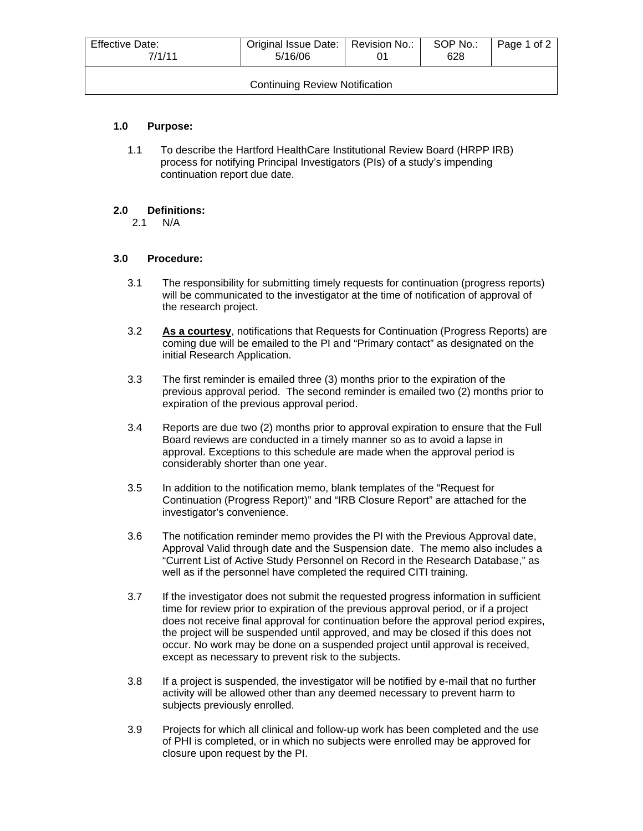| Effective Date:<br>7/1/11             | Original Issue Date:   Revision No.:<br>5/16/06 |  | SOP No.:<br>628 | Page 1 of 2 |  |  |
|---------------------------------------|-------------------------------------------------|--|-----------------|-------------|--|--|
| <b>Continuing Review Notification</b> |                                                 |  |                 |             |  |  |

## **1.0 Purpose:**

1.1 To describe the Hartford HealthCare Institutional Review Board (HRPP IRB) process for notifying Principal Investigators (PIs) of a study's impending continuation report due date.

## **2.0 Definitions:**

2.1 N/A

## **3.0 Procedure:**

- 3.1 The responsibility for submitting timely requests for continuation (progress reports) will be communicated to the investigator at the time of notification of approval of the research project.
- 3.2 **As a courtesy**, notifications that Requests for Continuation (Progress Reports) are coming due will be emailed to the PI and "Primary contact" as designated on the initial Research Application.
- 3.3 The first reminder is emailed three (3) months prior to the expiration of the previous approval period. The second reminder is emailed two (2) months prior to expiration of the previous approval period.
- 3.4 Reports are due two (2) months prior to approval expiration to ensure that the Full Board reviews are conducted in a timely manner so as to avoid a lapse in approval. Exceptions to this schedule are made when the approval period is considerably shorter than one year.
- 3.5 In addition to the notification memo, blank templates of the "Request for Continuation (Progress Report)" and "IRB Closure Report" are attached for the investigator's convenience.
- 3.6 The notification reminder memo provides the PI with the Previous Approval date, Approval Valid through date and the Suspension date. The memo also includes a "Current List of Active Study Personnel on Record in the Research Database," as well as if the personnel have completed the required CITI training.
- 3.7 If the investigator does not submit the requested progress information in sufficient time for review prior to expiration of the previous approval period, or if a project does not receive final approval for continuation before the approval period expires, the project will be suspended until approved, and may be closed if this does not occur. No work may be done on a suspended project until approval is received, except as necessary to prevent risk to the subjects.
- 3.8 If a project is suspended, the investigator will be notified by e-mail that no further activity will be allowed other than any deemed necessary to prevent harm to subjects previously enrolled.
- 3.9 Projects for which all clinical and follow-up work has been completed and the use of PHI is completed, or in which no subjects were enrolled may be approved for closure upon request by the PI.